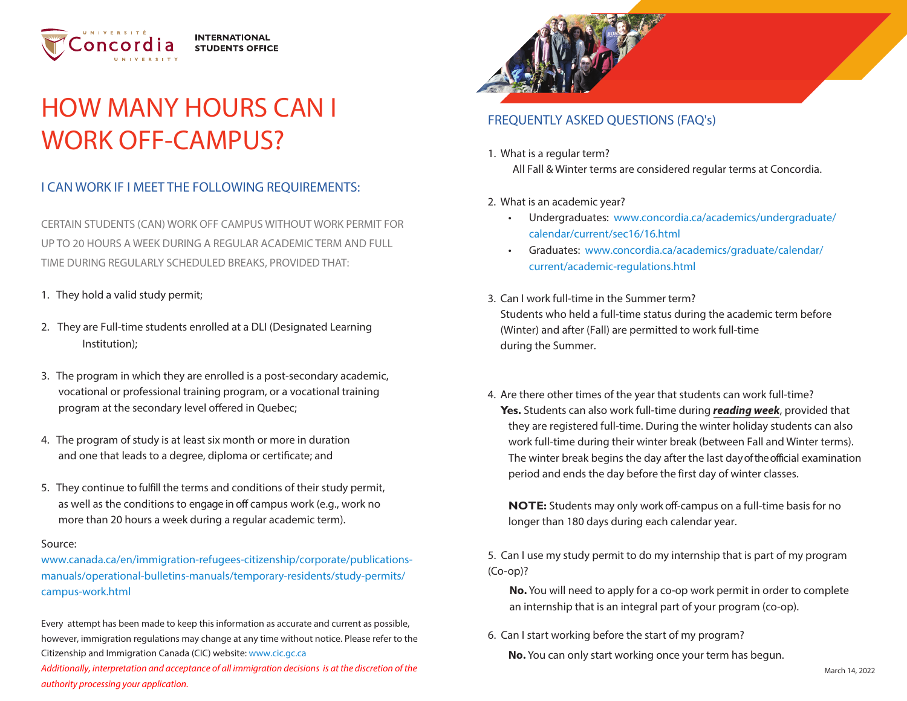

## HOW MANY HOURS CAN I WORK OFF-CAMPUS?

## I CAN WORK IF I MEET THE FOLLOWING REQUIREMENTS:

CERTAIN STUDENTS (CAN) WORK OFF CAMPUS WITHOUT WORK PERMIT FOR UP TO 20 HOURS A WEEK DURING A REGULAR ACADEMIC TERM AND FULL TIME DURING REGULARLY SCHEDULED BREAKS, PROVIDED THAT:

- 1. They hold a valid study permit;
- 2. They are Full-time students enrolled at a DLI (Designated LearningInstitution);
- 3. The program in which they are enrolled is a post-secondary academic, vocational or professional training program, or a vocational training program at the secondary level offered in Quebec;
- 4. The program of study is at least six month or more in durationand one that leads to a degree, diploma or certificate; and
- 5. They continue to fulfill the terms and conditions of their study permit, as well as the conditions to engage in off campus work (e.g., work nomore than 20 hours a week during a regular academic term).

## Source:

[www.canada.ca/en/immigration-refugees-citizenship/corporate/publications](https://www.canada.ca/en/immigration-refugees-citizenship/corporate/publications-manuals/operational-bulletins-manuals/temporary-residents/study-permits/campus-work.html)manuals/operational-bulletins-manuals/temporary-residents/study-permits/campus-work.html

Every attempt has been made to keep this information as accurate and current as possible, however, immigration regulations may change at any time without notice. Please refer to the Citizenship and Immigration Canada (CIC) website: www.cic.gc.ca

 [Additionally, interpretation and acceptance of all immigration decisions is at the discretion of the](http://www.cic.gc.ca/)  authority processing your application.



## FREQUENTLY ASKED QUESTIONS (FAQ's)

- 1. What is a regular term? All Fall & Winter terms are considered regular terms at Concordia.
- 2. What is an academic year?
	- Undergraduates: [www.concordia.ca/academics/undergraduate/](http://www.concordia.ca/academics/undergraduate/calendar/current/sec16/16.html)calendar/current/sec16/16.html
	- Graduates: www.c[oncordia.ca/academics/graduate/calendar/](http://www.concordia.ca/academics/graduate/calendar/current/academic-regulations.html)current/academic-regulations.html
- 3. Can I work full-time in the Summer term?Students who held a full-time status during the academic term before(Winter) and after (Fall) are permitted to work full-timeduring the Summer.
- 4. Are there other times of the year that students can work full-time? **Yes.** Students can also work full-time during **reading week**, provided that they are registered full-time. During the winter holiday students can also work full-time during their winter break (between Fall and Winter terms). The winter break begins the day after the last day of the official examination period and ends the day before the first day of winter classes.

**NOTE:** Students may only work off-campus on a full-time basis for no longer than 180 days during each calendar year.

5. Can I use my study permit to do my internship that is part of my program (Co-op)?

**No.** You will need to apply for a co-op work permit in order to complete an internship that is an integral part of your program (co-op).

6. Can I start working before the start of my program? **No.** You can only start working once your term has begun.

March 14, 2022